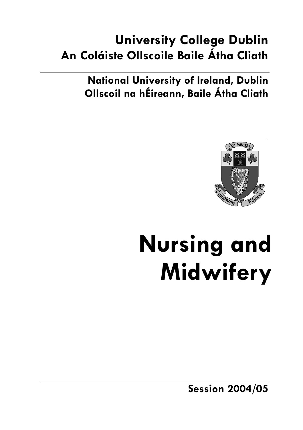## **University College Dublin An Coláiste Ollscoile Baile Átha Cliath**

**National University of Ireland, Dublin Ollscoil na hÉireann, Baile Átha Cliath** 



# **Nursing and Midwifery**

**Session 2004/05**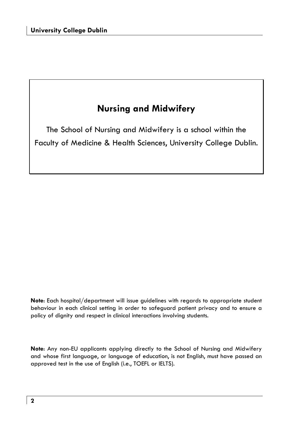### **Nursing and Midwifery**

The School of Nursing and Midwifery is a school within the Faculty of Medicine & Health Sciences, University College Dublin.

**Note**: Each hospital/department will issue guidelines with regards to appropriate student behaviour in each clinical setting in order to safeguard patient privacy and to ensure a policy of dignity and respect in clinical interactions involving students.

**Note**: Any non-EU applicants applying directly to the School of Nursing and Midwifery and whose first language, or language of education, is not English, must have passed an approved test in the use of English (i.e., TOEFL or IELTS).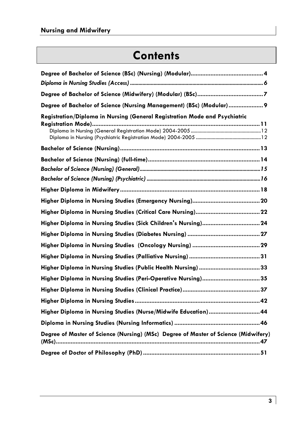### **Contents**

| Degree of Bachelor of Science (Nursing Management) (BSc) (Modular)  9               |
|-------------------------------------------------------------------------------------|
| Registration/Diploma in Nursing (General Registration Mode and Psychiatric          |
|                                                                                     |
|                                                                                     |
|                                                                                     |
|                                                                                     |
|                                                                                     |
|                                                                                     |
|                                                                                     |
|                                                                                     |
|                                                                                     |
|                                                                                     |
|                                                                                     |
|                                                                                     |
| Higher Diploma in Nursing Studies (Peri-Operative Nursing)35                        |
|                                                                                     |
|                                                                                     |
| Higher Diploma in Nursing Studies (Nurse/Midwife Education) 44                      |
|                                                                                     |
| Degree of Master of Science (Nursing) (MSc) Degree of Master of Science (Midwifery) |
|                                                                                     |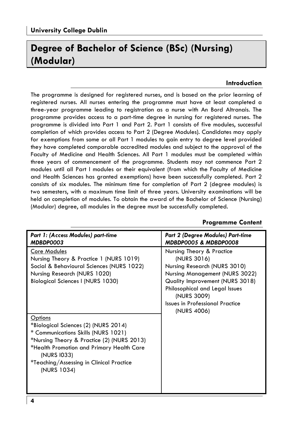### **Degree of Bachelor of Science (BSc) (Nursing) (Modular)**

#### **Introduction**

The programme is designed for registered nurses, and is based on the prior learning of registered nurses. All nurses entering the programme must have at least completed a three-year programme leading to registration as a nurse with An Bord Altranais. The programme provides access to a part-time degree in nursing for registered nurses. The programme is divided into Part 1 and Part 2. Part 1 consists of five modules, successful completion of which provides access to Part 2 (Degree Modules). Candidates may apply for exemptions from some or all Part 1 modules to gain entry to degree level provided they have completed comparable accredited modules and subject to the approval of the Faculty of Medicine and Health Sciences. All Part 1 modules must be completed within three years of commencement of the programme. Students may not commence Part 2 modules until all Part l modules or their equivalent (from which the Faculty of Medicine and Health Sciences has granted exemptions) have been successfully completed. Part 2 consists of six modules. The minimum time for completion of Part 2 (degree modules) is two semesters, with a maximum time limit of three years. University examinations will be held on completion of modules. To obtain the award of the Bachelor of Science (Nursing) (Modular) degree, all modules in the degree must be successfully completed.

| Part 1: (Access Modules) part-time<br>MDBDP0003                                                                                                                                                                                                                    | Part 2 (Degree Modules) Part-time<br>MDBDP0005 & MDBDP0008                                                                                                                                                                                              |
|--------------------------------------------------------------------------------------------------------------------------------------------------------------------------------------------------------------------------------------------------------------------|---------------------------------------------------------------------------------------------------------------------------------------------------------------------------------------------------------------------------------------------------------|
| Core Modules<br>Nursing Theory & Practice 1 (NURS 1019)<br>Social & Behavioural Sciences (NURS 1022)<br>Nursing Research (NURS 1020)<br>Biological Sciences I (NURS 1030)                                                                                          | Nursing Theory & Practice<br>(NURS 3016)<br>Nursing Research (NURS 3010)<br>Nursing Management (NURS 3022)<br>Quality Improvement (NURS 3018)<br>Philosophical and Legal Issues<br>(NURS 3009)<br><b>Issues in Professional Practice</b><br>(NURS 4006) |
| <u>Options</u><br>*Biological Sciences (2) (NURS 2014)<br>* Communications Skills (NURS 1021)<br>*Nursing Theory & Practice (2) (NURS 2013)<br>*Health Promotion and Primary Health Care<br>(NURS 1033)<br>*Teaching/Assessing in Clinical Practice<br>(NURS 1034) |                                                                                                                                                                                                                                                         |

### **Programme Content**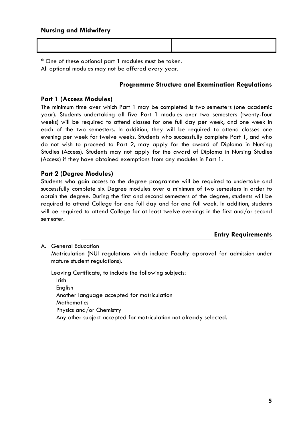\* One of these optional part 1 modules must be taken. All optional modules may not be offered every year.

### **Programme Structure and Examination Regulations**

### **Part 1 (Access Modules)**

The minimum time over which Part 1 may be completed is two semesters (one academic year). Students undertaking all five Part 1 modules over two semesters (twenty-four weeks) will be required to attend classes for one full day per week, and one week in each of the two semesters. In addition, they will be required to attend classes one evening per week for twelve weeks. Students who successfully complete Part 1, and who do not wish to proceed to Part 2, may apply for the award of Diploma in Nursing Studies (Access). Students may not apply for the award of Diploma in Nursing Studies (Access) if they have obtained exemptions from any modules in Part 1.

### **Part 2 (Degree Modules)**

Students who gain access to the degree programme will be required to undertake and successfully complete six Degree modules over a minimum of two semesters in order to obtain the degree. During the first and second semesters of the degree, students will be required to attend College for one full day and for one full week. In addition, students will be required to attend College for at least twelve evenings in the first and/or second semester.

**Entry Requirements** 

A. General Education

 Matriculation (NUI regulations which include Faculty approval for admission under mature student regulations).

 Leaving Certificate, to include the following subjects: Irish **English** Another language accepted for matriculation **Mathematics** Physics and/or Chemistry Any other subject accepted for matriculation not already selected.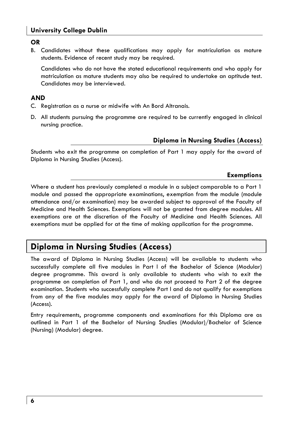### **University College Dublin**

**OR** 

B. Candidates without these qualifications may apply for matriculation as mature students. Evidence of recent study may be required.

 Candidates who do not have the stated educational requirements and who apply for matriculation as mature students may also be required to undertake an aptitude test. Candidates may be interviewed.

### **AND**

- C. Registration as a nurse or midwife with An Bord Altranais.
- D. All students pursuing the programme are required to be currently engaged in clinical nursing practice.

### **Diploma in Nursing Studies (Access)**

Students who exit the programme on completion of Part 1 may apply for the award of Diploma in Nursing Studies (Access).

### **Exemptions**

Where a student has previously completed a module in a subject comparable to a Part 1 module and passed the appropriate examinations, exemption from the module (module attendance and/or examination) may be awarded subject to approval of the Faculty of Medicine and Health Sciences. Exemptions will not be granted from degree modules. All exemptions are at the discretion of the Faculty of Medicine and Health Sciences. All exemptions must be applied for at the time of making application for the programme.

### **Diploma in Nursing Studies (Access)**

The award of Diploma in Nursing Studies (Access) will be available to students who successfully complete all five modules in Part l of the Bachelor of Science (Modular) degree programme. This award is only available to students who wish to exit the programme on completion of Part 1, and who do not proceed to Part 2 of the degree examination. Students who successfully complete Part l and do not qualify for exemptions from any of the five modules may apply for the award of Diploma in Nursing Studies (Access).

Entry requirements, programme components and examinations for this Diploma are as outlined in Part 1 of the Bachelor of Nursing Studies (Modular)/Bachelor of Science (Nursing) (Modular) degree.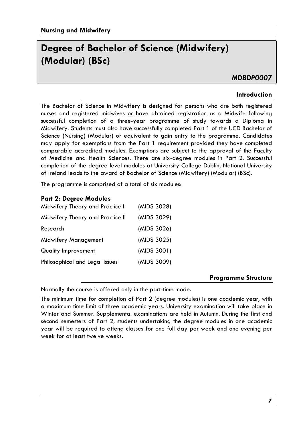### **Degree of Bachelor of Science (Midwifery) (Modular) (BSc)**

### *MDBDP0007*

### **Introduction**

The Bachelor of Science in Midwifery is designed for persons who are both registered nurses and registered midwives or have obtained registration as a Midwife following successful completion of a three-year programme of study towards a Diploma in Midwifery. Students must also have successfully completed Part 1 of the UCD Bachelor of Science (Nursing) (Modular) or equivalent to gain entry to the programme. Candidates may apply for exemptions from the Part 1 requirement provided they have completed comparable accredited modules. Exemptions are subject to the approval of the Faculty of Medicine and Health Sciences. There are six-degree modules in Part 2. Successful completion of the degree level modules at University College Dublin, National University of Ireland leads to the award of Bachelor of Science (Midwifery) (Modular) (BSc).

The programme is comprised of a total of six modules:

### **Part 2: Degree Modules**

| Midwifery Theory and Practice I  | (MIDS 3028) |
|----------------------------------|-------------|
| Midwifery Theory and Practice II | (MIDS 3029) |
| Research                         | (MIDS 3026) |
| Midwifery Management             | (MIDS 3025) |
| Quality Improvement              | (MIDS 3001) |
| Philosophical and Legal Issues   | (MIDS 3009) |

### **Programme Structure**

Normally the course is offered only in the part-time mode.

The minimum time for completion of Part 2 (degree modules) is one academic year, with a maximum time limit of three academic years. University examination will take place in Winter and Summer. Supplemental examinations are held in Autumn. During the first and second semesters of Part 2, students undertaking the degree modules in one academic year will be required to attend classes for one full day per week and one evening per week for at least twelve weeks.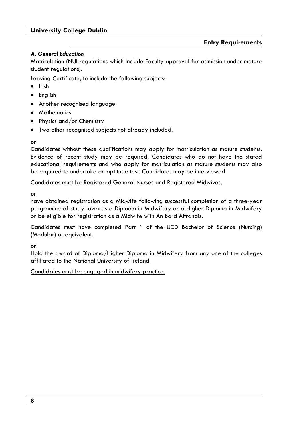### *A. General Education*

Matriculation (NUI regulations which include Faculty approval for admission under mature student regulations).

Leaving Certificate, to include the following subjects:

- Irish
- English
- Another recognised language
- Mathematics
- Physics and/or Chemistry
- Two other recognised subjects not already included.

#### *or*

Candidates without these qualifications may apply for matriculation as mature students. Evidence of recent study may be required. Candidates who do not have the stated educational requirements and who apply for matriculation as mature students may also be required to undertake an aptitude test. Candidates may be interviewed.

Candidates must be Registered General Nurses and Registered Midwives,

*or* 

have obtained registration as a Midwife following successful completion of a three-year programme of study towards a Diploma in Midwifery or a Higher Diploma in Midwifery or be eligible for registration as a Midwife with An Bord Altranais.

Candidates must have completed Part 1 of the UCD Bachelor of Science (Nursing) (Modular) or equivalent.

*or* 

Hold the award of Diploma/Higher Diploma in Midwifery from any one of the colleges affiliated to the National University of Ireland.

### Candidates must be engaged in midwifery practice.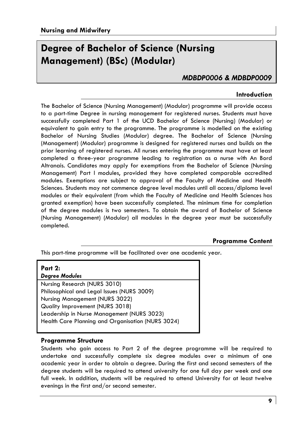### **Degree of Bachelor of Science (Nursing Management) (BSc) (Modular)**

### *MDBDP0006 & MDBDP0009*

### **Introduction**

The Bachelor of Science (Nursing Management) (Modular) programme will provide access to a part-time Degree in nursing management for registered nurses. Students must have successfully completed Part 1 of the UCD Bachelor of Science (Nursing) (Modular) or equivalent to gain entry to the programme. The programme is modelled on the existing Bachelor of Nursing Studies (Modular) degree. The Bachelor of Science (Nursing (Management) (Modular) programme is designed for registered nurses and builds on the prior learning of registered nurses. All nurses entering the programme must have at least completed a three-year programme leading to registration as a nurse with An Bord Altranais. Candidates may apply for exemptions from the Bachelor of Science (Nursing Management) Part l modules, provided they have completed comparable accredited modules. Exemptions are subject to approval of the Faculty of Medicine and Health Sciences. Students may not commence degree level modules until all access/diploma level modules or their equivalent (from which the Faculty of Medicine and Health Sciences has granted exemption) have been successfully completed. The minimum time for completion of the degree modules is two semesters. To obtain the award of Bachelor of Science (Nursing Management) (Modular) all modules in the degree year must be successfully completed.

### **Programme Content**

This part-time programme will be facilitated over one academic year.

| <b>Part 2:</b>                                    |
|---------------------------------------------------|
| <b>Degree Modules</b>                             |
| Nursing Research (NURS 3010)                      |
| Philosophical and Legal Issues (NURS 3009)        |
| Nursing Management (NURS 3022)                    |
| Quality Improvement (NURS 3018)                   |
| Leadership in Nurse Management (NURS 3023)        |
| Health Care Planning and Organisation (NURS 3024) |
|                                                   |

### **Programme Structure**

Students who gain access to Part 2 of the degree programme will be required to undertake and successfully complete six degree modules over a minimum of one academic year in order to obtain a degree. During the first and second semesters of the degree students will be required to attend university for one full day per week and one full week. In addition, students will be required to attend University for at least twelve evenings in the first and/or second semester.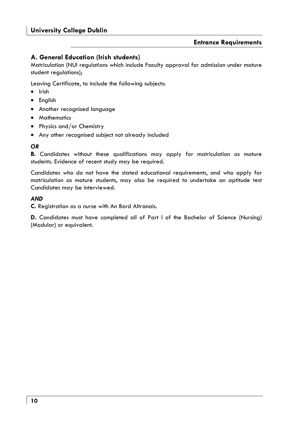### **A. General Education (Irish students)**

Matriculation (NUI regulations which include Faculty approval for admission under mature student regulations);

Leaving Certificate, to include the following subjects:

- Irish
- English
- Another recognised language
- Mathematics
- Physics and/or Chemistry
- Any other recognised subject not already included

### *OR*

**B.** Candidates without these qualifications may apply for matriculation as mature students. Evidence of recent study may be required.

Candidates who do not have the stated educational requirements, and who apply for matriculation as mature students, may also be required to undertake an aptitude test Candidates may be interviewed.

### *AND*

**C.** Registration as a nurse with An Bord Altranais.

**D.** Candidates must have completed all of Part l of the Bachelor of Science (Nursing) (Modular) or equivalent.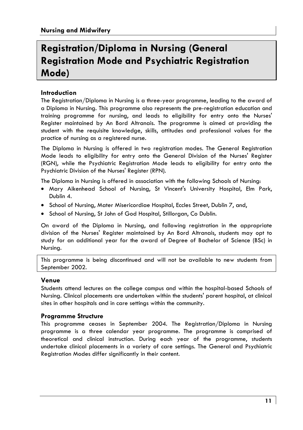### **Registration/Diploma in Nursing (General Registration Mode and Psychiatric Registration Mode)**

### **Introduction**

The Registration/Diploma in Nursing is a three-year programme, leading to the award of a Diploma in Nursing. This programme also represents the pre-registration education and training programme for nursing, and leads to eligibility for entry onto the Nurses' Register maintained by An Bord Altranais. The programme is aimed at providing the student with the requisite knowledge, skills, attitudes and professional values for the practice of nursing as a registered nurse.

The Diploma in Nursing is offered in two registration modes. The General Registration Mode leads to eligibility for entry onto the General Division of the Nurses' Register (RGN), while the Psychiatric Registration Mode leads to eligibility for entry onto the Psychiatric Division of the Nurses' Register (RPN).

The Diploma in Nursing is offered in association with the following Schools of Nursing:

- Mary Aikenhead School of Nursing, St Vincent's University Hospital, Elm Park, Dublin 4.
- School of Nursing, Mater Misericordiae Hospital, Eccles Street, Dublin 7, and,
- School of Nursing, St John of God Hospital, Stillorgan, Co Dublin.

On award of the Diploma in Nursing, and following registration in the appropriate division of the Nurses' Register maintained by An Bord Altranais, students may opt to study for an additional year for the award of Degree of Bachelor of Science (BSc) in Nursing.

This programme is being discontinued and will not be available to new students from September 2002.

### **Venue**

Students attend lectures on the college campus and within the hospital-based Schools of Nursing. Clinical placements are undertaken within the students' parent hospital, at clinical sites in other hospitals and in care settings within the community.

### **Programme Structure**

This programme ceases in September 2004. The Registration/Diploma in Nursing programme is a three calendar year programme. The programme is comprised of theoretical and clinical instruction. During each year of the programme, students undertake clinical placements in a variety of care settings. The General and Psychiatric Registration Modes differ significantly in their content.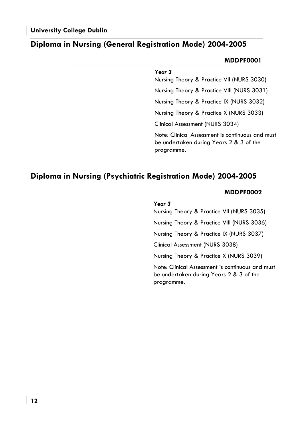### **Diploma in Nursing (General Registration Mode) 2004-2005**

### **MDDPF0001**

### *Year 3*

Nursing Theory & Practice VII (NURS 3030) Nursing Theory & Practice VIII (NURS 3031) Nursing Theory & Practice IX (NURS 3032) Nursing Theory & Practice X (NURS 3033) Clinical Assessment (NURS 3034) Note: Clinical Assessment is continuous and must

be undertaken during Years 2 & 3 of the programme.

### **Diploma in Nursing (Psychiatric Registration Mode) 2004-2005**

### **MDDPF0002**

| Year 3<br>Nursing Theory & Practice VII (NURS 3035)                                                       |
|-----------------------------------------------------------------------------------------------------------|
| Nursing Theory & Practice VIII (NURS 3036)                                                                |
| Nursing Theory & Practice IX (NURS 3037)                                                                  |
| Clinical Assessment (NURS 3038)                                                                           |
| Nursing Theory & Practice X (NURS 3039)                                                                   |
| Note: Clinical Assessment is continuous and must<br>be undertaken during Years 2 & 3 of the<br>programme. |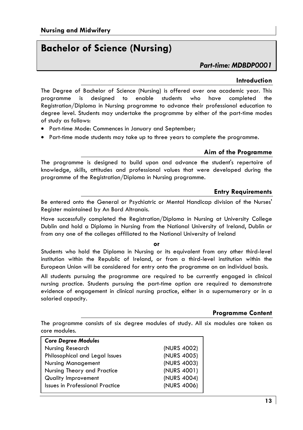### **Bachelor of Science (Nursing)**

### *Part-time: MDBDP0001*

### **Introduction**

The Degree of Bachelor of Science (Nursing) is offered over one academic year. This programme is designed to enable students who have completed the Registration/Diploma in Nursing programme to advance their professional education to degree level. Students may undertake the programme by either of the part-time modes of study as follows:

- Part-time Mode: Commences in January and September;
- Part-time mode students may take up to three years to complete the programme.

### **Aim of the Programme**

The programme is designed to build upon and advance the student's repertoire of knowledge, skills, attitudes and professional values that were developed during the programme of the Registration/Diploma in Nursing programme.

### **Entry Requirements**

Be entered onto the General or Psychiatric or Mental Handicap division of the Nurses' Register maintained by An Bord Altranais.

Have successfully completed the Registration/Diploma in Nursing at University College Dublin and hold a Diploma in Nursing from the National University of Ireland, Dublin or from any one of the colleges affiliated to the National University of Ireland

#### **or**

Students who hold the Diploma in Nursing or its equivalent from any other third-level institution within the Republic of Ireland, or from a third-level institution within the European Union will be considered for entry onto the programme on an individual basis.

All students pursuing the programme are required to be currently engaged in clinical nursing practice. Students pursuing the part-time option are required to demonstrate evidence of engagement in clinical nursing practice, either in a supernumerary or in a salaried capacity.

### **Programme Content**

The programme consists of six degree modules of study. All six modules are taken as core modules.

| <b>Core Degree Modules</b>             |             |
|----------------------------------------|-------------|
| Nursing Research                       | (NURS 4002) |
| Philosophical and Legal Issues         | (NURS 4005) |
| <b>Nursing Management</b>              | (NURS 4003) |
| Nursing Theory and Practice            | (NURS 4001) |
| Quality Improvement                    | (NURS 4004) |
| <b>Issues in Professional Practice</b> | (NURS 4006) |
|                                        |             |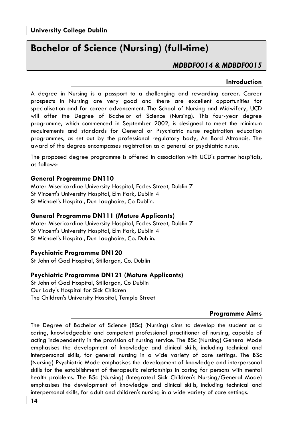### **Bachelor of Science (Nursing) (full-time)**

### *MDBDF0014 & MDBDF0015*

### **Introduction**

A degree in Nursing is a passport to a challenging and rewarding career. Career prospects in Nursing are very good and there are excellent opportunities for specialisation and for career advancement. The School of Nursing and Midwifery, UCD will offer the Degree of Bachelor of Science (Nursing). This four-year degree programme, which commenced in September 2002, is designed to meet the minimum requirements and standards for General or Psychiatric nurse registration education programmes, as set out by the professional regulatory body, An Bord Altranais. The award of the degree encompasses registration as a general or psychiatric nurse.

The proposed degree programme is offered in association with UCD's partner hospitals, as follows:

### **General Programme DN110**

Mater Misericordiae University Hospital, Eccles Street, Dublin 7 St Vincent's University Hospital, Elm Park, Dublin 4 St Michael's Hospital, Dun Laoghaire, Co Dublin.

### **General Programme DN111 (Mature Applicants)**

Mater Misericordiae University Hospital, Eccles Street, Dublin 7 St Vincent's University Hospital, Elm Park, Dublin 4 St Michael's Hospital, Dun Laoghaire, Co. Dublin.

### **Psychiatric Programme DN120**

St John of God Hospital, Stillorgan, Co. Dublin

### **Psychiatric Programme DN121 (Mature Applicants)**

St John of God Hospital, Stillorgan, Co Dublin Our Lady's Hospital for Sick Children The Children's University Hospital, Temple Street

### **Programme Aims**

The Degree of Bachelor of Science (BSc) (Nursing) aims to develop the student as a caring, knowledgeable and competent professional practitioner of nursing, capable of acting independently in the provision of nursing service. The BSc (Nursing) General Mode emphasises the development of knowledge and clinical skills, including technical and interpersonal skills, for general nursing in a wide variety of care settings. The BSc (Nursing) Psychiatric Mode emphasises the development of knowledge and interpersonal skills for the establishment of therapeutic relationships in caring for persons with mental health problems. The BSc (Nursing) (Integrated Sick Children's Nursing/General Mode) emphasises the development of knowledge and clinical skills, including technical and interpersonal skills, for adult and children's nursing in a wide variety of care settings.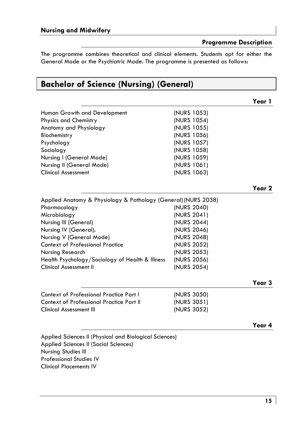**Programme Description** 

**Year 1** 

**Year 2** 

The programme combines theoretical and clinical elements. Students opt for either the General Mode or the Psychiatric Mode. The programme is presented as follows:

### **Bachelor of Science (Nursing) (General)**

| Human Growth and Development | (NURS 1053) |
|------------------------------|-------------|
| <b>Physics and Chemistry</b> | (NURS 1054) |
| Anatomy and Physiology       | (NURS 1055) |
| Biochemistry                 | (NURS 1056) |
| Psychology                   | (NURS 1057) |
| Sociology                    | (NURS 1058) |
| Nursing I (General Mode)     | (NURS 1059) |
| Nursing II (General Mode)    | (NURS 1061) |
| <b>Clinical Assessment</b>   | (NURS 1063) |
|                              |             |

| Applied Anatomy & Physiology & Pathology (General) (NURS 2038) |             |
|----------------------------------------------------------------|-------------|
| Pharmacology                                                   | (NURS 2040) |
| Microbiology                                                   | (NURS 2041) |
| Nursing III (General)                                          | (NURS 2044) |
| Nursing IV (General).                                          | (NURS 2046) |
| Nursing V (General Mode)                                       | (NURS 2048) |
| <b>Context of Professional Practice</b>                        | (NURS 2052) |
| Nursing Research                                               | (NURS 2053) |
| Health Psychology/Sociology of Health & Illness                | (NURS 2056) |
| <b>Clinical Assessment II</b>                                  | (NURS 2054) |

### **Year 3**

| (NURS 3050) |
|-------------|
| (NURS 3051) |
| (NURS 3052) |
|             |

### **Year 4**

Applied Sciences II (Physical and Biological Sciences) Applied Sciences II (Social Sciences) Nursing Studies III Professional Studies IV Clinical Placements IV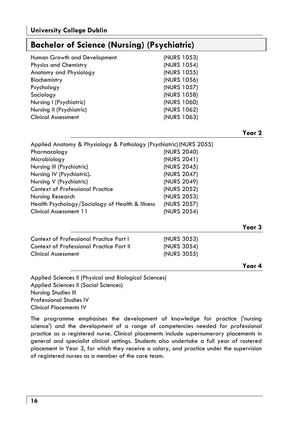### **Bachelor of Science (Nursing) (Psychiatric)**

| Human Growth and Development | (NURS 1053) |
|------------------------------|-------------|
| <b>Physics and Chemistry</b> | (NURS 1054) |
| Anatomy and Physiology       | (NURS 1055) |
| Biochemistry                 | (NURS 1056) |
| Psychology                   | (NURS 1057) |
| Sociology                    | (NURS 1058) |
| Nursing I (Psychiatric)      | (NURS 1060) |
| Nursing II (Psychiatric)     | (NURS 1062) |
| <b>Clinical Assessment</b>   | (NURS 1063) |

#### **Year 2**

| Applied Anatomy & Physiology & Pathology (Psychiatric) (NURS 2055) |             |
|--------------------------------------------------------------------|-------------|
| Pharmacology                                                       | (NURS 2040) |
| Microbiology                                                       | (NURS 2041) |
| Nursing III (Psychiatric)                                          | (NURS 2045) |
| Nursing IV (Psychiatric).                                          | (NURS 2047) |
| Nursing V (Psychiatric)                                            | (NURS 2049) |
| <b>Context of Professional Practice</b>                            | (NURS 2052) |
| Nursing Research                                                   | (NURS 2053) |
| Health Psychology/Sociology of Health & Illness                    | (NURS 2057) |
| Clinical Assessment 11                                             | (NURS 2054) |
|                                                                    |             |

| Context of Professional Practice Part I  | (NURS 3053) |
|------------------------------------------|-------------|
| Context of Professional Practice Part II | (NURS 3054) |
| <b>Clinical Assessment</b>               | (NURS 3055) |

# **Year 3**

#### **Year 4**

Applied Sciences II (Physical and Biological Sciences) Applied Sciences II (Social Sciences) Nursing Studies III Professional Studies IV Clinical Placements IV

The programme emphasises the development of knowledge for practice ('nursing science') and the development of a range of competencies needed for professional practice as a registered nurse. Clinical placements include supernumerary placements in general and specialist clinical settings. Students also undertake a full year of rostered placement in Year 3, for which they receive a salary, and practice under the supervision of registered nurses as a member of the care team.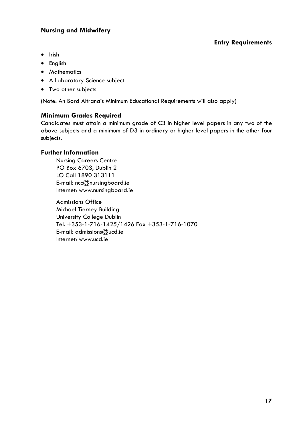- Irish
- English
- Mathematics
- A Laboratory Science subject
- Two other subjects

(Note: An Bord Altranais Minimum Educational Requirements will also apply)

### **Minimum Grades Required**

Candidates must attain a minimum grade of C3 in higher level papers in any two of the above subjects and a minimum of D3 in ordinary or higher level papers in the other four subjects.

### **Further Information**

Nursing Careers Centre PO Box 6703, Dublin 2 LO Call 1890 313111 E-mail: ncc@nursingboard.ie Internet: www.nursingboard.ie

Admissions Office Michael Tierney Building University College Dublin Tel. +353-1-716-1425/1426 Fax +353-1-716-1070 E-mail: admissions@ucd.ie Internet: www.ucd.ie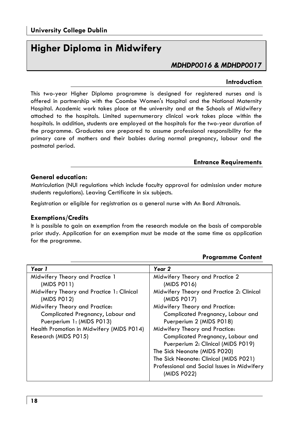### **Higher Diploma in Midwifery**

### *MDHDP0016 & MDHDP0017*

### **Introduction**

This two-year Higher Diploma programme is designed for registered nurses and is offered in partnership with the Coombe Women's Hospital and the National Maternity Hospital. Academic work takes place at the university and at the Schools of Midwifery attached to the hospitals. Limited supernumerary clinical work takes place within the hospitals. In addition, students are employed at the hospitals for the two-year duration of the programme. Graduates are prepared to assume professional responsibility for the primary care of mothers and their babies during normal pregnancy, labour and the postnatal period.

#### **Entrance Requirements**

### **General education:**

Matriculation (NUI regulations which include faculty approval for admission under mature students regulations). Leaving Certificate in six subjects.

Registration or eligible for registration as a general nurse with An Bord Altranais.

#### **Exemptions/Credits**

It is possible to gain an exemption from the research module on the basis of comparable prior study. Application for an exemption must be made at the same time as application for the programme.

| Year 1                                    | Year 2                                      |
|-------------------------------------------|---------------------------------------------|
| Midwifery Theory and Practice 1           | Midwifery Theory and Practice 2             |
| (MIDS PO11)                               | (MIDS P016)                                 |
| Midwifery Theory and Practice 1: Clinical | Midwifery Theory and Practice 2: Clinical   |
| (MIDS P012)                               | (MIDS P017)                                 |
| Midwifery Theory and Practice:            | Midwifery Theory and Practice:              |
| Complicated Pregnancy, Labour and         | Complicated Pregnancy, Labour and           |
| Puerperium 1: (MIDS P013)                 | Puerperium 2 (MIDS P018)                    |
| Health Promotion in Midwifery (MIDS P014) | Midwifery Theory and Practice:              |
| Research (MIDS P015)                      | Complicated Pregnancy, Labour and           |
|                                           | Puerperium 2: Clinical (MIDS P019)          |
|                                           | The Sick Neonate (MIDS P020)                |
|                                           | The Sick Neonate: Clinical (MIDS P021)      |
|                                           | Professional and Social Issues in Midwifery |
|                                           | (MIDS P022)                                 |

### **Programme Content**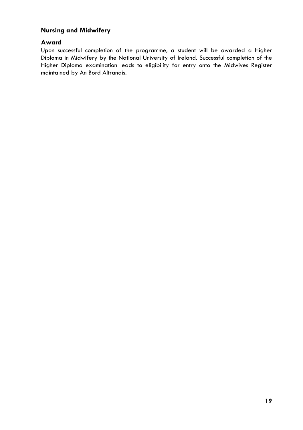### **Nursing and Midwifery**

### **Award**

Upon successful completion of the programme, a student will be awarded a Higher Diploma in Midwifery by the National University of Ireland. Successful completion of the Higher Diploma examination leads to eligibility for entry onto the Midwives Register maintained by An Bord Altranais.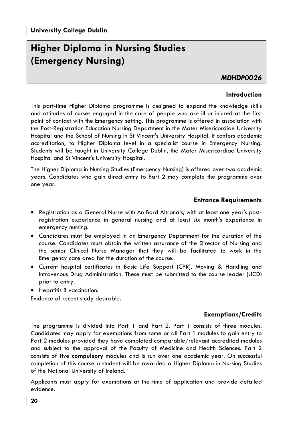### **Higher Diploma in Nursing Studies (Emergency Nursing)**

### *MDHDP0026*

### **Introduction**

This part-time Higher Diploma programme is designed to expand the knowledge skills and attitudes of nurses engaged in the care of people who are ill or injured at the first point of contact with the Emergency setting. This programme is offered in association with the Post-Registration Education Nursing Department in the Mater Misericordiae University Hospital and the School of Nursing in St Vincent's University Hospital. It confers academic accreditation, to Higher Diploma level in a specialist course in Emergency Nursing. Students will be taught in University College Dublin, the Mater Misericordiae University Hospital and St Vincent's University Hospital.

The Higher Diploma in Nursing Studies (Emergency Nursing) is offered over two academic years. Candidates who gain direct entry to Part 2 may complete the programme over one year.

### **Entrance Requirements**

- Registration as a General Nurse with An Bord Altranais, with at least one year's postregistration experience in general nursing and at least six month's experience in emergency nursing.
- Candidates must be employed in an Emergency Department for the duration of the course. Candidates must obtain the written assurance of the Director of Nursing and the senior Clinical Nurse Manager that they will be facilitated to work in the Emergency care area for the duration of the course.
- Current hospital certificates in Basic Life Support (CPR), Moving & Handling and Intravenous Drug Administration. These must be submitted to the course leader (UCD) prior to entry.
- Hepatitis B vaccination.

Evidence of recent study desirable.

### **Exemptions/Credits**

The programme is divided into Part 1 and Part 2. Part 1 consists of three modules. Candidates may apply for exemptions from some or all Part 1 modules to gain entry to Part 2 modules provided they have completed comparable/relevant accredited modules and subject to the approval of the Faculty of Medicine and Health Sciences. Part 2 consists of five **compulsory** modules and is run over one academic year. On successful completion of this course a student will be awarded a Higher Diploma in Nursing Studies of the National University of Ireland.

Applicants must apply for exemptions at the time of application and provide detailed evidence.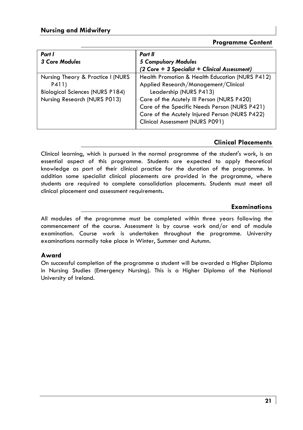### **Programme Content**

| Part I                                 | Part II                                         |  |
|----------------------------------------|-------------------------------------------------|--|
| <b>3 Core Modules</b>                  | 5 Compulsory Modules                            |  |
|                                        | (2 Core + 3 Specialist + Clinical Assessment)   |  |
| Nursing Theory & Practice I (NURS      | Health Promotion & Health Education (NURS P412) |  |
| P411)                                  | Applied Research/Management/Clinical            |  |
| <b>Biological Sciences (NURS P184)</b> | Leadership (NURS P413)                          |  |
| Nursing Research (NURS P013)           | Care of the Acutely III Person (NURS P420)      |  |
|                                        | Care of the Specific Needs Person (NURS P421)   |  |
|                                        | Care of the Acutely Injured Person (NURS P422)  |  |
|                                        | Clinical Assessment (NURS P091)                 |  |

### **Clinical Placements**

Clinical learning, which is pursued in the normal programme of the student's work, is an essential aspect of this programme. Students are expected to apply theoretical knowledge as part of their clinical practice for the duration of the programme. In addition some specialist clinical placements are provided in the programme, where students are required to complete consolidation placements. Students must meet all clinical placement and assessment requirements.

### **Examinations**

All modules of the programme must be completed within three years following the commencement of the course. Assessment is by course work and/or end of module examination. Course work is undertaken throughout the programme. University examinations normally take place in Winter, Summer and Autumn.

### **Award**

On successful completion of the programme a student will be awarded a Higher Diploma in Nursing Studies (Emergency Nursing). This is a Higher Diploma of the National University of Ireland.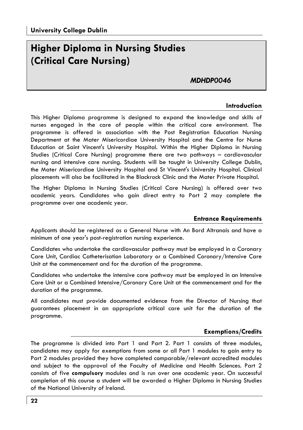### **Higher Diploma in Nursing Studies (Critical Care Nursing)**

### *MDHDP0046*

#### **Introduction**

This Higher Diploma programme is designed to expand the knowledge and skills of nurses engaged in the care of people within the critical care environment. The programme is offered in association with the Post Registration Education Nursing Department at the Mater Misericordiae University Hospital and the Centre for Nurse Education at Saint Vincent's University Hospital. Within the Higher Diploma in Nursing Studies (Critical Care Nursing) programme there are two pathways – cardiovascular nursing and intensive care nursing. Students will be taught in University College Dublin, the Mater Misericordiae University Hospital and St Vincent's University Hospital. Clinical placements will also be facilitated in the Blackrock Clinic and the Mater Private Hospital.

The Higher Diploma in Nursing Studies (Critical Care Nursing) is offered over two academic years. Candidates who gain direct entry to Part 2 may complete the programme over one academic year.

### **Entrance Requirements**

Applicants should be registered as a General Nurse with An Bord Altranais and have a minimum of one year's post-registration nursing experience.

Candidates who undertake the cardiovascular pathway must be employed in a Coronary Care Unit, Cardiac Catheterisation Laboratory or a Combined Coronary/Intensive Care Unit at the commencement and for the duration of the programme.

Candidates who undertake the intensive care pathway must be employed in an Intensive Care Unit or a Combined Intensive/Coronary Care Unit at the commencement and for the duration of the programme.

All candidates must provide documented evidence from the Director of Nursing that guarantees placement in an appropriate critical care unit for the duration of the programme.

### **Exemptions/Credits**

The programme is divided into Part 1 and Part 2. Part 1 consists of three modules, candidates may apply for exemptions from some or all Part 1 modules to gain entry to Part 2 modules provided they have completed comparable/relevant accredited modules and subject to the approval of the Faculty of Medicine and Health Sciences. Part 2 consists of five **compulsory** modules and is run over one academic year. On successful completion of this course a student will be awarded a Higher Diploma in Nursing Studies of the National University of Ireland.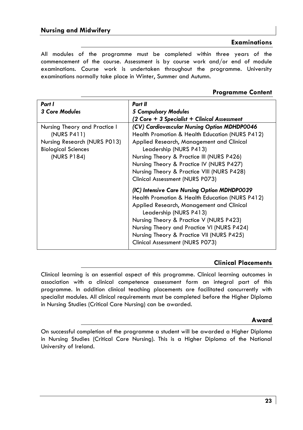### **Examinations**

All modules of the programme must be completed within three years of the commencement of the course. Assessment is by course work and/or end of module examinations. Course work is undertaken throughout the programme. University examinations normally take place in Winter, Summer and Autumn.

### **Programme Content**

| Part I                                                                                                                    | Part II                                                                                                                                                                                                                                                                                                                                                                            |  |
|---------------------------------------------------------------------------------------------------------------------------|------------------------------------------------------------------------------------------------------------------------------------------------------------------------------------------------------------------------------------------------------------------------------------------------------------------------------------------------------------------------------------|--|
| 3 Core Modules                                                                                                            | 5 Compulsory Modules                                                                                                                                                                                                                                                                                                                                                               |  |
|                                                                                                                           | (2 Core + 3 Specialist + Clinical Assessment                                                                                                                                                                                                                                                                                                                                       |  |
| Nursing Theory and Practice I<br>(NURS P411)<br>Nursing Research (NURS P013)<br><b>Biological Sciences</b><br>(NURS P184) | (CV) Cardiovascular Nursing Option MDHDP0046<br>Health Promotion & Health Education (NURS P412)<br>Applied Research, Management and Clinical<br>Leadership (NURS P413)<br>Nursing Theory & Practice III (NURS P426)<br>Nursing Theory & Practice IV (NURS P427)<br>Nursing Theory & Practice VIII (NURS P428)                                                                      |  |
|                                                                                                                           | Clinical Assessment (NURS P073)<br>(IC) Intensive Care Nursing Option MDHDP0039<br>Health Promotion & Health Education (NURS P412)<br>Applied Research, Management and Clinical<br>Leadership (NURS P413)<br>Nursing Theory & Practice V (NURS P423)<br>Nursing Theory and Practice VI (NURS P424)<br>Nursing Theory & Practice VII (NURS P425)<br>Clinical Assessment (NURS P073) |  |

### **Clinical Placements**

Clinical learning is an essential aspect of this programme. Clinical learning outcomes in association with a clinical competence assessment form an integral part of this programme. In addition clinical teaching placements are facilitated concurrently with specialist modules. All clinical requirements must be completed before the Higher Diploma in Nursing Studies (Critical Care Nursing) can be awarded.

### **Award**

On successful completion of the programme a student will be awarded a Higher Diploma in Nursing Studies (Critical Care Nursing). This is a Higher Diploma of the National University of Ireland.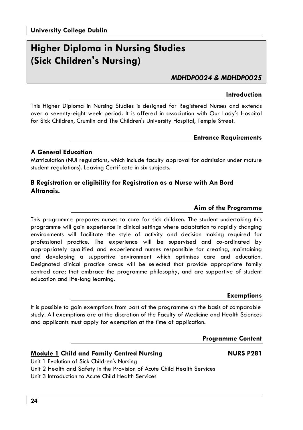### **Higher Diploma in Nursing Studies (Sick Children's Nursing)**

*MDHDP0024 & MDHDP0025* 

### **Introduction**

This Higher Diploma in Nursing Studies is designed for Registered Nurses and extends over a seventy-eight week period. It is offered in association with Our Lady's Hospital for Sick Children, Crumlin and The Children's University Hospital, Temple Street.

### **Entrance Requirements**

### **A General Education**

Matriculation (NUI regulations, which include faculty approval for admission under mature student regulations). Leaving Certificate in six subjects.

### **B Registration or eligibility for Registration as a Nurse with An Bord Altranais.**

### **Aim of the Programme**

This programme prepares nurses to care for sick children. The student undertaking this programme will gain experience in clinical settings where adaptation to rapidly changing environments will facilitate the style of activity and decision making required for professional practice. The experience will be supervised and co-ordinated by appropriately qualified and experienced nurses responsible for creating, maintaining and developing a supportive environment which optimises care and education. Designated clinical practice areas will be selected that provide appropriate family centred care; that embrace the programme philosophy, and are supportive of student education and life-long learning.

#### **Exemptions**

It is possible to gain exemptions from part of the programme on the basis of comparable study. All exemptions are at the discretion of the Faculty of Medicine and Health Sciences and applicants must apply for exemption at the time of application.

### **Programme Content**

### **Module 1 Child and Family Centred Nursing NURS P281**

Unit 1 Evolution of Sick Children's Nursing

Unit 3 Introduction to Acute Child Health Services

Unit 2 Health and Safety in the Provision of Acute Child Health Services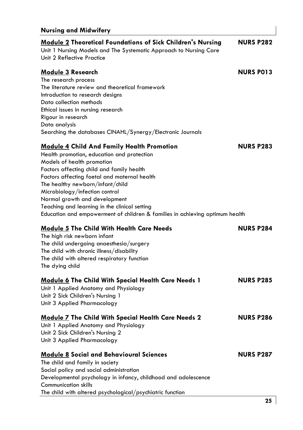### **Nursing and Midwifery Module 2 Theoretical Foundations of Sick Children's Nursing NURS P282**  Unit 1 Nursing Models and The Systematic Approach to Nursing Care Unit 2 Reflective Practice **Module 3 Research NURS P013** The research process The literature review and theoretical framework Introduction to research designs Data collection methods Ethical issues in nursing research Rigour in research Data analysis Searching the databases CINAHL/Synergy/Electronic Journals **Module 4 Child And Family Health Promotion NURS P283** Health promotion, education and protection Models of health promotion Factors affecting child and family health Factors affecting foetal and maternal health The healthy newborn/infant/child Microbiology/infection control Normal growth and development Teaching and learning in the clinical setting Education and empowerment of children & families in achieving optimum health **Module 5** The Child With Health Care Needs NURS P284 The high risk newborn infant The child undergoing anaesthesia/surgery The child with chronic illness/disability The child with altered respiratory function The dying child **Module 6 The Child With Special Health Care Needs 1 NURS P285**  Unit 1 Applied Anatomy and Physiology Unit 2 Sick Children's Nursing 1 Unit 3 Applied Pharmacology **Module 7 The Child With Special Health Care Needs 2 NURS P286**  Unit 1 Applied Anatomy and Physiology Unit 2 Sick Children's Nursing 2 Unit 3 Applied Pharmacology **Module 8** Social and Behavioural Sciences NURS P287 The child and family in society Social policy and social administration Developmental psychology in infancy, childhood and adolescence Communication skills The child with altered psychological/psychiatric function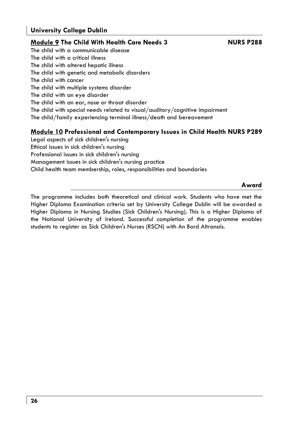### **University College Dublin**

### **Module 9 The Child With Health Care Needs 3 NURS P288**

The child with a communicable disease The child with a critical illness The child with altered hepatic illness The child with genetic and metabolic disorders The child with cancer The child with multiple systems disorder The child with an eye disorder The child with an ear, nose or throat disorder The child with special needs related to visual/auditory/cognitive impairment The child/family experiencing terminal illness/death and bereavement

### **Module 10 Professional and Contemporary Issues in Child Health NURS P289**

Legal aspects of sick children's nursing Ethical issues in sick children's nursing Professional issues in sick children's nursing Management issues in sick children's nursing practice Child health team membership, roles, responsibilities and boundaries

**Award** 

The programme includes both theoretical and clinical work. Students who have met the Higher Diploma Examination criteria set by University College Dublin will be awarded a Higher Diploma in Nursing Studies (Sick Children's Nursing). This is a Higher Diploma of the National University of Ireland. Successful completion of the programme enables students to register as Sick Children's Nurses (RSCN) with An Bord Altranais.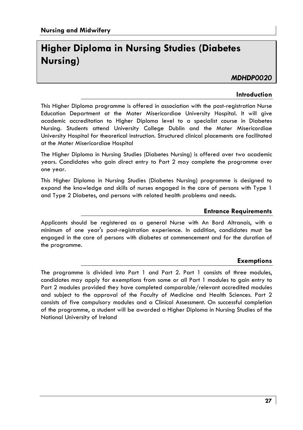### **Higher Diploma in Nursing Studies (Diabetes Nursing)**

### *MDHDP0020*

### **Introduction**

This Higher Diploma programme is offered in association with the post-registration Nurse Education Department at the Mater Misericordiae University Hospital. It will give academic accreditation to Higher Diploma level to a specialist course in Diabetes Nursing. Students attend University College Dublin and the Mater Misericordiae University Hospital for theoretical instruction. Structured clinical placements are facilitated at the Mater Misericordiae Hospital

The Higher Diploma in Nursing Studies (Diabetes Nursing) is offered over two academic years. Candidates who gain direct entry to Part 2 may complete the programme over one year.

This Higher Diploma in Nursing Studies (Diabetes Nursing) programme is designed to expand the knowledge and skills of nurses engaged in the care of persons with Type 1 and Type 2 Diabetes, and persons with related health problems and needs.

### **Entrance Requirements**

Applicants should be registered as a general Nurse with An Bord Altranais, with a minimum of one year's post-registration experience. In addition, candidates must be engaged in the care of persons with diabetes at commencement and for the duration of the programme.

### **Exemptions**

The programme is divided into Part 1 and Part 2. Part 1 consists of three modules, candidates may apply for exemptions from some or all Part 1 modules to gain entry to Part 2 modules provided they have completed comparable/relevant accredited modules and subject to the approval of the Faculty of Medicine and Health Sciences. Part 2 consists of five compulsory modules and a Clinical Assessment. On successful completion of the programme, a student will be awarded a Higher Diploma in Nursing Studies of the National University of Ireland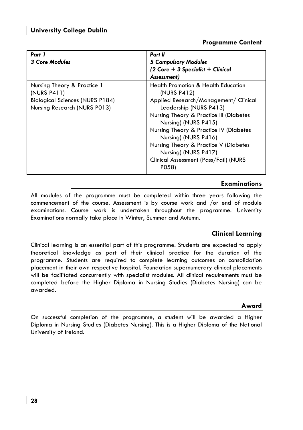### **Programme Content**

| Part 1<br><b>3 Core Modules</b>                                                                                      | Part II<br><b>5 Compulsory Modules</b><br>$(2 \text{ Core} + 3 \text{ Specialist} + \text{ Clinical})$<br>Assessment)                                                                                                                                                                                                                                                                    |
|----------------------------------------------------------------------------------------------------------------------|------------------------------------------------------------------------------------------------------------------------------------------------------------------------------------------------------------------------------------------------------------------------------------------------------------------------------------------------------------------------------------------|
| Nursing Theory & Practice 1<br>(NURS P411)<br><b>Biological Sciences (NURS P184)</b><br>Nursing Research (NURS P013) | <b>Health Promotion &amp; Health Education</b><br>(NURS P412)<br>Applied Research/Management/ Clinical<br>Leadership (NURS P413)<br>Nursing Theory & Practice III (Diabetes<br>Nursing) (NURS P415)<br>Nursing Theory & Practice IV (Diabetes<br>Nursing) (NURS P416)<br>Nursing Theory & Practice V (Diabetes<br>Nursing) (NURS P417)<br>Clinical Assessment (Pass/Fail) (NURS<br>P058) |

### **Examinations**

All modules of the programme must be completed within three years following the commencement of the course. Assessment is by course work and /or end of module examinations. Course work is undertaken throughout the programme. University Examinations normally take place in Winter, Summer and Autumn.

### **Clinical Learning**

Clinical learning is an essential part of this programme. Students are expected to apply theoretical knowledge as part of their clinical practice for the duration of the programme. Students are required to complete learning outcomes on consolidation placement in their own respective hospital. Foundation supernumerary clinical placements will be facilitated concurrently with specialist modules. All clinical requirements must be completed before the Higher Diploma in Nursing Studies (Diabetes Nursing) can be awarded.

### **Award**

On successful completion of the programme, a student will be awarded a Higher Diploma in Nursing Studies (Diabetes Nursing). This is a Higher Diploma of the National University of Ireland.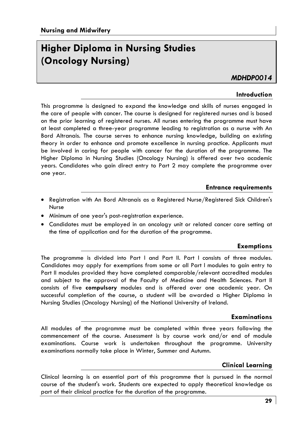### **Higher Diploma in Nursing Studies (Oncology Nursing)**

### *MDHDP0014*

### **Introduction**

This programme is designed to expand the knowledge and skills of nurses engaged in the care of people with cancer. The course is designed for registered nurses and is based on the prior learning of registered nurses. All nurses entering the programme must have at least completed a three-year programme leading to registration as a nurse with An Bord Altranais. The course serves to enhance nursing knowledge, building on existing theory in order to enhance and promote excellence in nursing practice. Applicants must be involved in caring for people with cancer for the duration of the programme. The Higher Diploma in Nursing Studies (Oncology Nursing) is offered over two academic years. Candidates who gain direct entry to Part 2 may complete the programme over one year.

### **Entrance requirements**

- Registration with An Bord Altranais as a Registered Nurse/Registered Sick Children's Nurse
- Minimum of one year's post-registration experience.
- Candidates must be employed in an oncology unit or related cancer care setting at the time of application and for the duration of the programme.

### **Exemptions**

The programme is divided into Part l and Part II. Part l consists of three modules. Candidates may apply for exemptions from some or all Part l modules to gain entry to Part II modules provided they have completed comparable/relevant accredited modules and subject to the approval of the Faculty of Medicine and Health Sciences. Part II consists of five **compulsory** modules and is offered over one academic year. On successful completion of the course, a student will be awarded a Higher Diploma in Nursing Studies (Oncology Nursing) of the National University of Ireland.

### **Examinations**

All modules of the programme must be completed within three years following the commencement of the course. Assessment is by course work and/or end of module examinations. Course work is undertaken throughout the programme. University examinations normally take place in Winter, Summer and Autumn.

### **Clinical Learning**

Clinical learning is an essential part of this programme that is pursued in the normal course of the student's work. Students are expected to apply theoretical knowledge as part of their clinical practice for the duration of the programme.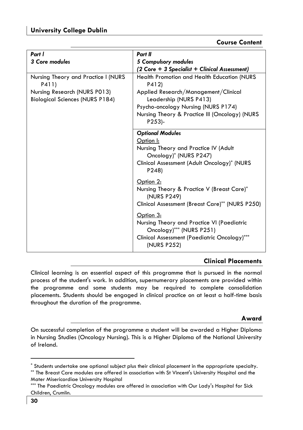### **Course Content**

| Part I                                                                 | Part II                                                                                                                                            |  |
|------------------------------------------------------------------------|----------------------------------------------------------------------------------------------------------------------------------------------------|--|
| 3 Core modules                                                         | 5 Compulsory modules                                                                                                                               |  |
|                                                                        | (2 Core + 3 Specialist + Clinical Assessment)                                                                                                      |  |
| Nursing Theory and Practice I (NURS<br>P411)                           | <b>Health Promotion and Health Education (NURS</b><br>P412)                                                                                        |  |
| Nursing Research (NURS P013)<br><b>Biological Sciences (NURS P184)</b> | Applied Research/Management/Clinical<br>Leadership (NURS P413)                                                                                     |  |
|                                                                        | Psycho-oncology Nursing (NURS P174)                                                                                                                |  |
|                                                                        | Nursing Theory & Practice III (Oncology) (NURS<br>P253                                                                                             |  |
|                                                                        | <b>Optional Modules</b>                                                                                                                            |  |
|                                                                        | Option I:                                                                                                                                          |  |
|                                                                        | Nursing Theory and Practice IV (Adult<br>Oncology)* (NURS P247)                                                                                    |  |
|                                                                        | Clinical Assessment (Adult Oncology)* (NURS<br>P248)                                                                                               |  |
|                                                                        | Option 2:                                                                                                                                          |  |
|                                                                        | Nursing Theory & Practice V (Breast Care)*<br>(NURS P249)                                                                                          |  |
|                                                                        | Clinical Assessment (Breast Care)** (NURS P250)                                                                                                    |  |
|                                                                        | Option 3:<br>Nursing Theory and Practice VI (Paediatric<br>Oncology)*** (NURS P251)<br>Clinical Assessment (Paediatric Oncology)***<br>(NURS P252) |  |

### **Clinical Placements**

Clinical learning is an essential aspect of this programme that is pursued in the normal process of the student's work. In addition, supernumerary placements are provided within the programme and some students may be required to complete consolidation placements. Students should be engaged in clinical practice on at least a half-time basis throughout the duration of the programme.

### **Award**

On successful completion of the programme a student will be awarded a Higher Diploma in Nursing Studies (Oncology Nursing). This is a Higher Diploma of the National University of Ireland.

<sup>\*</sup> Students undertake one optional subject plus their clinical placement in the appropriate specialty.

<sup>\*\*</sup> The Breast Care modules are offered in association with St Vincent's University Hospital and the Mater Misericordiae University Hospital

<sup>\*\*\*</sup> The Paediatric Oncology modules are offered in association with Our Lady's Hospital for Sick Children, Crumlin.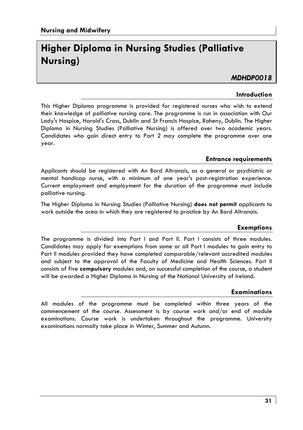### **Higher Diploma in Nursing Studies (Palliative Nursing)**

### *MDHDP0018*

### **Introduction**

This Higher Diploma programme is provided for registered nurses who wish to extend their knowledge of palliative nursing care. The programme is run in association with Our Lady's Hospice, Harold's Cross, Dublin and St Francis Hospice, Raheny, Dublin. The Higher Diploma in Nursing Studies (Palliative Nursing) is offered over two academic years. Candidates who gain direct entry to Part 2 may complete the programme over one year.

### **Entrance requirements**

Applicants should be registered with An Bord Altranais, as a general or psychiatric or mental handicap nurse, with a minimum of one year's post-registration experience. Current employment and employment for the duration of the programme must include palliative nursing.

The Higher Diploma in Nursing Studies (Palliative Nursing) **does not permit** applicants to work outside the area in which they are registered to practice by An Bord Altranais.

### **Exemptions**

The programme is divided into Part I and Part II. Part I consists of three modules. Candidates may apply for exemptions from some or all Part I modules to gain entry to Part II modules provided they have completed comparable/relevant accredited modules and subject to the approval of the Faculty of Medicine and Health Sciences. Part II consists of five **compulsory** modules and, on successful completion of the course, a student will be awarded a Higher Diploma in Nursing of the National University of Ireland.

### **Examinations**

All modules of the programme must be completed within three years of the commencement of the course. Assessment is by course work and/or end of module examinations. Course work is undertaken throughout the programme. University examinations normally take place in Winter, Summer and Autumn.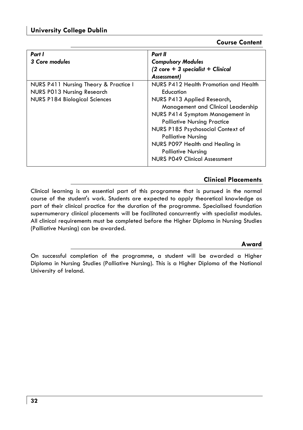### **Course Content**

| Part I                                | Part II                                                      |
|---------------------------------------|--------------------------------------------------------------|
| 3 Core modules                        | <b>Compulsory Modules</b>                                    |
|                                       | $(2 \text{ core} + 3 \text{ specialist} + \text{ Clinical})$ |
|                                       | Assessment)                                                  |
| NURS P411 Nursing Theory & Practice I | NURS P412 Health Promotion and Health                        |
| NURS P013 Nursing Research            | Education                                                    |
| <b>NURS P184 Biological Sciences</b>  | NURS P413 Applied Research,                                  |
|                                       | Management and Clinical Leadership                           |
|                                       | NURS P414 Symptom Management in                              |
|                                       | <b>Palliative Nursing Practice</b>                           |
|                                       | NURS P185 Psychosocial Context of                            |
|                                       | <b>Palliative Nursing</b>                                    |
|                                       | NURS P097 Health and Healing in                              |
|                                       | <b>Palliative Nursing</b>                                    |
|                                       | <b>NURS P049 Clinical Assessment</b>                         |

### **Clinical Placements**

Clinical learning is an essential part of this programme that is pursued in the normal course of the student's work. Students are expected to apply theoretical knowledge as part of their clinical practice for the duration of the programme. Specialised foundation supernumerary clinical placements will be facilitated concurrently with specialist modules. All clinical requirements must be completed before the Higher Diploma in Nursing Studies (Palliative Nursing) can be awarded.

### **Award**

On successful completion of the programme, a student will be awarded a Higher Diploma in Nursing Studies (Palliative Nursing). This is a Higher Diploma of the National University of Ireland.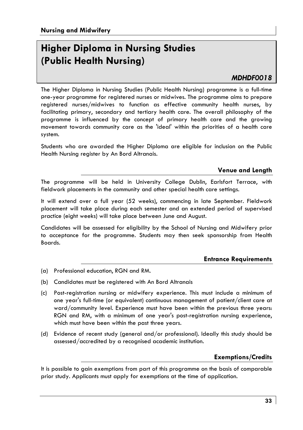### **Higher Diploma in Nursing Studies (Public Health Nursing)**

### *MDHDF0018*

The Higher Diploma in Nursing Studies (Public Health Nursing) programme is a full-time one-year programme for registered nurses or midwives. The programme aims to prepare registered nurses/midwives to function as effective community health nurses, by facilitating primary, secondary and tertiary health care. The overall philosophy of the programme is influenced by the concept of primary health care and the growing movement towards community care as the 'ideal' within the priorities of a health care system.

Students who are awarded the Higher Diploma are eligible for inclusion on the Public Health Nursing register by An Bord Altranais.

### **Venue and Length**

The programme will be held in University College Dublin, Earlsfort Terrace, with fieldwork placements in the community and other special health care settings.

It will extend over a full year (52 weeks), commencing in late September. Fieldwork placement will take place during each semester and an extended period of supervised practice (eight weeks) will take place between June and August.

Candidates will be assessed for eligibility by the School of Nursing and Midwifery prior to acceptance for the programme. Students may then seek sponsorship from Health Boards.

### **Entrance Requirements**

- (a) Professional education, RGN and RM.
- (b) Candidates must be registered with An Bord Altranais
- (c) Post-registration nursing or midwifery experience. This must include a minimum of one year's full-time (or equivalent) continuous management of patient/client care at ward/community level. Experience must have been within the previous three years: RGN and RM, with a minimum of one year's post-registration nursing experience, which must have been within the past three years.
- (d) Evidence of recent study (general and/or professional). Ideally this study should be assessed/accredited by a recognised academic institution.

### **Exemptions/Credits**

It is possible to gain exemptions from part of this programme on the basis of comparable prior study. Applicants must apply for exemptions at the time of application.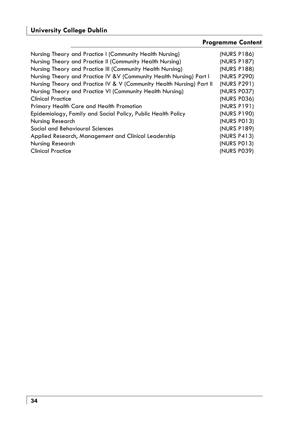### **University College Dublin**

### **Programme Content**  Nursing Theory and Practice I (Community Health Nursing) (NURS P186) Nursing Theory and Practice II (Community Health Nursing) (NURS P187) Nursing Theory and Practice III (Community Health Nursing) (NURS P188) Nursing Theory and Practice IV &V (Community Health Nursing) Part I (NURS P290) Nursing Theory and Practice IV & V (Community Health Nursing) Part II (NURS P291) Nursing Theory and Practice VI (Community Health Nursing) (NURS P037) Clinical Practice (NURS P036) Primary Health Care and Health Promotion (NURS P191) Epidemiology, Family and Social Policy, Public Health Policy (NURS P190) Nursing Research (NURS P013) Social and Behavioural Sciences (NURS P189) Applied Research, Management and Clinical Leadership (NURS P413) Nursing Research (NURS P013) Clinical Practice (NURS P039)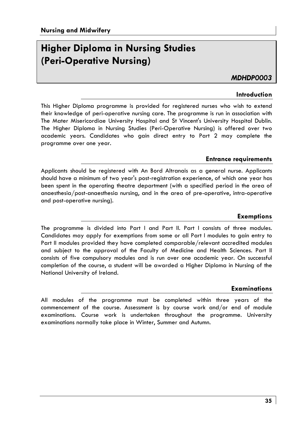### **Higher Diploma in Nursing Studies (Peri-Operative Nursing)**

*MDHDP0003* 

### **Introduction**

This Higher Diploma programme is provided for registered nurses who wish to extend their knowledge of peri-operative nursing care. The programme is run in association with The Mater Misericordiae University Hospital and St Vincent's University Hospital Dublin. The Higher Diploma in Nursing Studies (Peri-Operative Nursing) is offered over two academic years. Candidates who gain direct entry to Part 2 may complete the programme over one year.

### **Entrance requirements**

Applicants should be registered with An Bord Altranais as a general nurse. Applicants should have a minimum of two year's post-registration experience, of which one year has been spent in the operating theatre department (with a specified period in the area of anaesthesia/post-anaesthesia nursing, and in the area of pre-operative, intra-operative and post-operative nursing).

### **Exemptions**

The programme is divided into Part I and Part II. Part I consists of three modules. Candidates may apply for exemptions from some or all Part I modules to gain entry to Part II modules provided they have completed comparable/relevant accredited modules and subject to the approval of the Faculty of Medicine and Health Sciences. Part II consists of five compulsory modules and is run over one academic year. On successful completion of the course, a student will be awarded a Higher Diploma in Nursing of the National University of Ireland.

#### **Examinations**

All modules of the programme must be completed within three years of the commencement of the course. Assessment is by course work and/or end of module examinations. Course work is undertaken throughout the programme. University examinations normally take place in Winter, Summer and Autumn.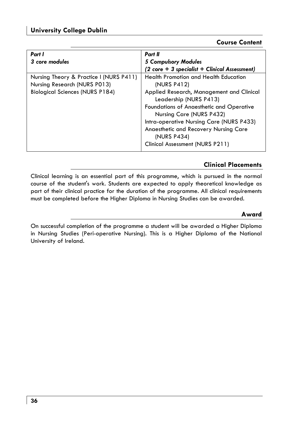### **Course Content**

| Part I                                                                                                            | Part II                                                                                                                             |
|-------------------------------------------------------------------------------------------------------------------|-------------------------------------------------------------------------------------------------------------------------------------|
| 3 core modules                                                                                                    | <b>5 Compulsory Modules</b>                                                                                                         |
|                                                                                                                   | $(2 \text{ core} + 3 \text{ specialist} + \text{ Clinical Assessment})$                                                             |
| Nursing Theory & Practice I (NURS P411)<br>Nursing Research (NURS P013)<br><b>Biological Sciences (NURS P184)</b> | <b>Health Promotion and Health Education</b><br>(NURS P412)<br>Applied Research, Management and Clinical                            |
|                                                                                                                   | Leadership (NURS P413)<br>Foundations of Anaesthetic and Operative<br>Nursing Care (NURS P432)                                      |
|                                                                                                                   | Intra-operative Nursing Care (NURS P433)<br>Anaesthetic and Recovery Nursing Care<br>(NURS P434)<br>Clinical Assessment (NURS P211) |

### **Clinical Placements**

Clinical learning is an essential part of this programme, which is pursued in the normal course of the student's work. Students are expected to apply theoretical knowledge as part of their clinical practice for the duration of the programme. All clinical requirements must be completed before the Higher Diploma in Nursing Studies can be awarded.

### **Award**

On successful completion of the programme a student will be awarded a Higher Diploma in Nursing Studies (Peri-operative Nursing). This is a Higher Diploma of the National University of Ireland.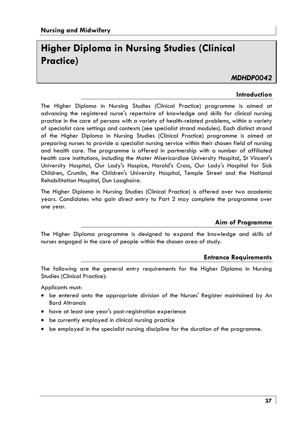### **Higher Diploma in Nursing Studies (Clinical Practice)**

### *MDHDP0042*

### **Introduction**

The Higher Diploma in Nursing Studies (Clinical Practice) programme is aimed at advancing the registered nurse's repertoire of knowledge and skills for clinical nursing practice in the care of persons with a variety of health-related problems, within a variety of specialist care settings and contexts (see specialist strand modules). Each distinct strand of the Higher Diploma in Nursing Studies (Clinical Practice) programme is aimed at preparing nurses to provide a specialist nursing service within their chosen field of nursing and health care. The programme is offered in partnership with a number of affiliated health care institutions, including the Mater Misericordiae University Hospital, St Vincent's University Hospital, Our Lady's Hospice, Harold's Cross, Our Lady's Hospital for Sick Children, Crumlin, the Children's University Hospital, Temple Street and the National Rehabilitation Hospital, Dun Laoghaire.

The Higher Diploma in Nursing Studies (Clinical Practice) is offered over two academic years. Candidates who gain direct entry to Part 2 may complete the programme over one year.

### **Aim of Programme**

The Higher Diploma programme is designed to expand the knowledge and skills of nurses engaged in the care of people within the chosen area of study.

### **Entrance Requirements**

The following are the general entry requirements for the Higher Diploma in Nursing Studies (Clinical Practice):

Applicants must:

- be entered onto the appropriate division of the Nurses' Register maintained by An Bord Altranais
- have at least one year's post-registration experience
- be currently employed in clinical nursing practice
- be employed in the specialist nursing discipline for the duration of the programme.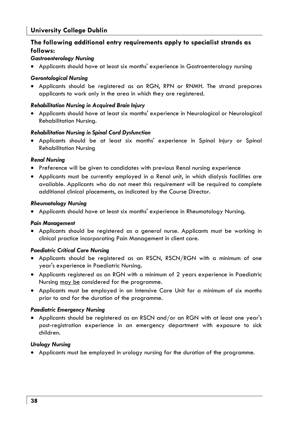### **University College Dublin**

### **The following additional entry requirements apply to specialist strands as follows:**

#### *Gastroenterology Nursing*

• Applicants should have at least six months' experience in Gastroenterology nursing

#### *Gerontological Nursing*

• Applicants should be registered as an RGN, RPN or RNMH. The strand prepares applicants to work only in the area in which they are registered.

#### *Rehabilitation Nursing in Acquired Brain Injury*

• Applicants should have at least six months' experience in Neurological or Neurological Rehabilitation Nursing.

#### *Rehabilitation Nursing in Spinal Cord Dysfunction*

• Applicants should be at least six months' experience in Spinal Injury or Spinal Rehabilitation Nursing

#### *Renal Nursing*

- Preference will be given to candidates with previous Renal nursing experience
- Applicants must be currently employed in a Renal unit, in which dialysis facilities are available. Applicants who do not meet this requirement will be required to complete additional clinical placements, as indicated by the Course Director.

#### *Rheumatology Nursing*

• Applicants should have at least six months' experience in Rheumatology Nursing.

#### *Pain Management*

• Applicants should be registered as a general nurse. Applicants must be working in clinical practice incorporating Pain Management in client care.

#### *Paediatric Critical Care Nursing*

- Applicants should be registered as an RSCN, RSCN/RGN with a minimum of one year's experience in Paediatric Nursing.
- Applicants registered as an RGN with a minimum of 2 years experience in Paediatric Nursing may be considered for the programme.
- Applicants must be employed in an Intensive Care Unit for a minimum of six months prior to and for the duration of the programme.

### *Paediatric Emergency Nursing*

• Applicants should be registered as an RSCN and/or an RGN with at least one year's post-registration experience in an emergency department with exposure to sick children.

### *Urology Nursing*

• Applicants must be employed in urology nursing for the duration of the programme.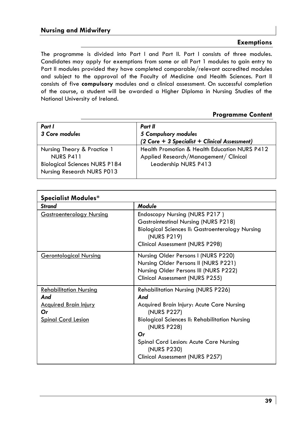### **Exemptions**

The programme is divided into Part I and Part II. Part I consists of three modules. Candidates may apply for exemptions from some or all Part 1 modules to gain entry to Part II modules provided they have completed comparable/relevant accredited modules and subject to the approval of the Faculty of Medicine and Health Sciences. Part II consists of five **compulsory** modules and a clinical assessment. On successful completion of the course, a student will be awarded a Higher Diploma in Nursing Studies of the National University of Ireland.

### **Programme Content**

| Part I<br>3 Core modules                                                                                       | Part II<br>5 Compulsory modules<br>(2 Core + 3 Specialist + Clinical Assessment)                               |
|----------------------------------------------------------------------------------------------------------------|----------------------------------------------------------------------------------------------------------------|
| Nursing Theory & Practice 1<br>NURS P411<br><b>Biological Sciences NURS P184</b><br>Nursing Research NURS P013 | Health Promotion & Health Education NURS P412<br>Applied Research/Management/ Clinical<br>Leadership NURS P413 |

| <b>Specialist Modules*</b>         |                                                                                          |
|------------------------------------|------------------------------------------------------------------------------------------|
| Strand                             | <b>Module</b>                                                                            |
| <b>Gastroenterology Nursing</b>    | Endoscopy Nursing (NURS P217)                                                            |
|                                    | Gastrointestinal Nursing (NURS P218)<br>Biological Sciences II: Gastroenterology Nursing |
|                                    | (NURS P219)                                                                              |
|                                    | Clinical Assessment (NURS P298)                                                          |
| <u>Gerontological Nursing</u>      | Nursing Older Persons I (NURS P220)                                                      |
|                                    | Nursing Older Persons II (NURS P221)                                                     |
|                                    | Nursing Older Persons III (NURS P222)                                                    |
|                                    | Clinical Assessment (NURS P255)                                                          |
| <b>Rehabilitation Nursing</b>      | <b>Rehabilitation Nursing (NURS P226)</b>                                                |
| And                                | And                                                                                      |
| <b>Acquired Brain Injury</b><br>Оr | Acquired Brain Injury: Acute Care Nursing<br>(NURS P227)                                 |
| <b>Spinal Cord Lesion</b>          | <b>Biological Sciences II: Rehabilitation Nursing</b><br>(NURS P228)                     |
|                                    | Оr                                                                                       |
|                                    | Spinal Cord Lesion: Acute Care Nursing<br>(NURS P230)                                    |
|                                    | Clinical Assessment (NURS P257)                                                          |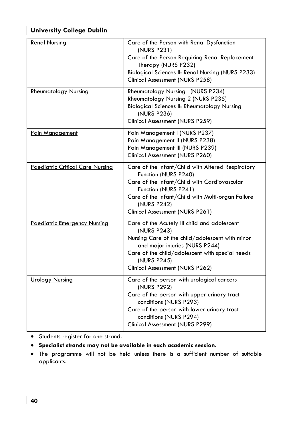### **University College Dublin**

| <b>Renal Nursing</b>                    | Care of the Person with Renal Dysfunction<br>(NURS P231)<br>Care of the Person Requiring Renal Replacement<br>Therapy (NURS P232)<br>Biological Sciences II: Renal Nursing (NURS P233)<br>Clinical Assessment (NURS P258)                                |
|-----------------------------------------|----------------------------------------------------------------------------------------------------------------------------------------------------------------------------------------------------------------------------------------------------------|
| <b>Rheumatology Nursing</b>             | Rheumatology Nursing I (NURS P234)<br>Rheumatology Nursing 2 (NURS P235)<br><b>Biological Sciences II: Rheumatology Nursing</b><br>(NURS P236)<br>Clinical Assessment (NURS P259)                                                                        |
| Pain Management                         | Pain Management I (NURS P237)<br>Pain Management II (NURS P238)<br>Pain Management III (NURS P239)<br>Clinical Assessment (NURS P260)                                                                                                                    |
| <b>Paediatric Critical Care Nursing</b> | Care of the Infant/Child with Altered Respiratory<br>Function (NURS P240)<br>Care of the Infant/Child with Cardiovascular<br>Function (NURS P241)<br>Care of the Infant/Child with Multi-organ Failure<br>(NURS P242)<br>Clinical Assessment (NURS P261) |
| <b>Paediatric Emergency Nursing</b>     | Care of the Acutely III child and adolescent<br>(NURS P243)<br>Nursing Care of the child/adolescent with minor<br>and major injuries (NURS P244)<br>Care of the child/adolescent with special needs<br>(NURS P245)<br>Clinical Assessment (NURS P262)    |
| <b>Urology Nursing</b>                  | Care of the person with urological cancers<br>(NURS P292)<br>Care of the person with upper urinary tract<br>conditions (NURS P293)<br>Care of the person with lower urinary tract<br>conditions (NURS P294)<br>Clinical Assessment (NURS P299)           |

• Students register for one strand.

- **Specialist strands may not be available in each academic session.**
- The programme will not be held unless there is a sufficient number of suitable applicants.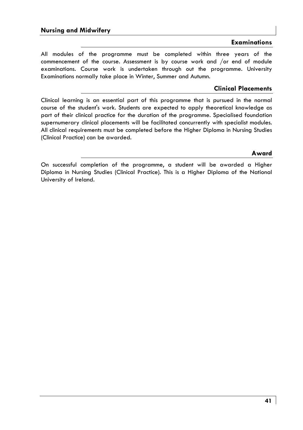### **Examinations**

All modules of the programme must be completed within three years of the commencement of the course. Assessment is by course work and /or end of module examinations. Course work is undertaken through out the programme. University Examinations normally take place in Winter, Summer and Autumn.

### **Clinical Placements**

Clinical learning is an essential part of this programme that is pursued in the normal course of the student's work. Students are expected to apply theoretical knowledge as part of their clinical practice for the duration of the programme. Specialised foundation supernumerary clinical placements will be facilitated concurrently with specialist modules. All clinical requirements must be completed before the Higher Diploma in Nursing Studies (Clinical Practice) can be awarded.

### **Award**

On successful completion of the programme, a student will be awarded a Higher Diploma in Nursing Studies (Clinical Practice). This is a Higher Diploma of the National University of Ireland.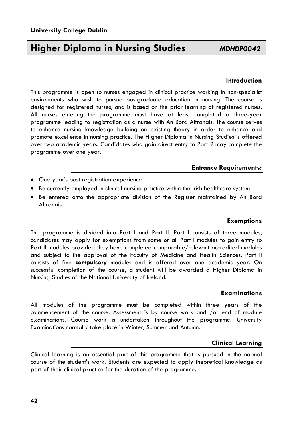### **Higher Diploma in Nursing Studies** *MDHDP0042*

### **Introduction**

This programme is open to nurses engaged in clinical practice working in non-specialist environments who wish to pursue postgraduate education in nursing. The course is designed for registered nurses, and is based on the prior learning of registered nurses. All nurses entering the programme must have at least completed a three-year programme leading to registration as a nurse with An Bord Altranais. The course serves to enhance nursing knowledge building on existing theory in order to enhance and promote excellence in nursing practice. The Higher Diploma in Nursing Studies is offered over two academic years. Candidates who gain direct entry to Part 2 may complete the programme over one year.

### **Entrance Requirements:**

- One year's post registration experience
- Be currently employed in clinical nursing practice within the Irish healthcare system
- Be entered onto the appropriate division of the Register maintained by An Bord Altranais.

### **Exemptions**

The programme is divided into Part I and Part II. Part I consists of three modules, candidates may apply for exemptions from some or all Part I modules to gain entry to Part II modules provided they have completed comparable/relevant accredited modules and subject to the approval of the Faculty of Medicine and Health Sciences. Part II consists of five **compulsory** modules and is offered over one academic year. On successful completion of the course, a student will be awarded a Higher Diploma in Nursing Studies of the National University of Ireland.

#### **Examinations**

All modules of the programme must be completed within three years of the commencement of the course. Assessment is by course work and /or end of module examinations. Course work is undertaken throughout the programme. University Examinations normally take place in Winter, Summer and Autumn.

### **Clinical Learning**

Clinical learning is an essential part of this programme that is pursued in the normal course of the student's work. Students are expected to apply theoretical knowledge as part of their clinical practice for the duration of the programme.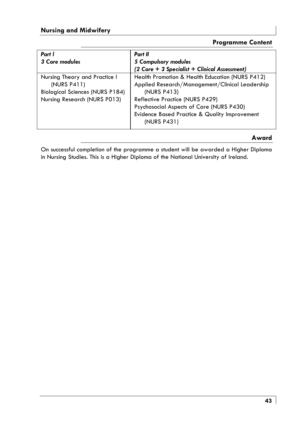### **Programme Content**

| Part I                                 | Part II                                         |  |
|----------------------------------------|-------------------------------------------------|--|
| 3 Core modules                         | 5 Compulsory modules                            |  |
|                                        | (2 Core + 3 Specialist + Clinical Assessment)   |  |
| Nursing Theory and Practice I          | Health Promotion & Health Education (NURS P412) |  |
| (NURS P411)                            | Applied Research/Management/Clinical Leadership |  |
| <b>Biological Sciences (NURS P184)</b> | (NURS P413)                                     |  |
| Nursing Research (NURS P013)           | Reflective Practice (NURS P429)                 |  |
|                                        | Psychosocial Aspects of Care (NURS P430)        |  |
|                                        | Evidence Based Practice & Quality Improvement   |  |
|                                        | (NURS P431)                                     |  |
|                                        |                                                 |  |

### **Award**

On successful completion of the programme a student will be awarded a Higher Diploma in Nursing Studies. This is a Higher Diploma of the National University of Ireland.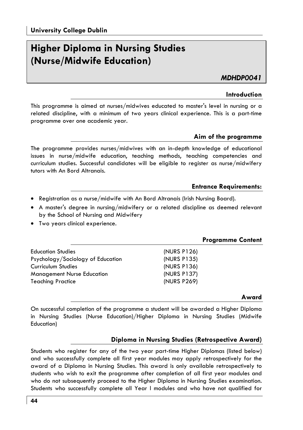### **Higher Diploma in Nursing Studies (Nurse/Midwife Education)**

*MDHDP0041* 

### **Introduction**

This programme is aimed at nurses/midwives educated to master's level in nursing or a related discipline, with a minimum of two years clinical experience. This is a part-time programme over one academic year.

### **Aim of the programme**

The programme provides nurses/midwives with an in-depth knowledge of educational issues in nurse/midwife education, teaching methods, teaching competencies and curriculum studies. Successful candidates will be eligible to register as nurse/midwifery tutors with An Bord Altranais.

### **Entrance Requirements:**

- Registration as a nurse/midwife with An Bord Altranais (Irish Nursing Board).
- A master's degree in nursing/midwifery or a related discipline as deemed relevant by the School of Nursing and Midwifery
- Two years clinical experience.

### **Programme Content**

| <b>Education Studies</b><br>Psychology/Sociology of Education<br>Curriculum Studies | (NURS P126)<br>(NURS P135)<br>(NURS P136) |
|-------------------------------------------------------------------------------------|-------------------------------------------|
| <b>Management Nurse Education</b>                                                   | (NURS P137)                               |
| <b>Teaching Practice</b>                                                            | (NURS P269)                               |

### **Award**

On successful completion of the programme a student will be awarded a Higher Diploma in Nursing Studies (Nurse Education)/Higher Diploma in Nursing Studies (Midwife Education)

### **Diploma in Nursing Studies (Retrospective Award)**

Students who register for any of the two year part-time Higher Diplomas (listed below) and who successfully complete all first year modules may apply retrospectively for the award of a Diploma in Nursing Studies. This award is only available retrospectively to students who wish to exit the programme after completion of all first year modules and who do not subsequently proceed to the Higher Diploma in Nursing Studies examination. Students who successfully complete all Year l modules and who have not qualified for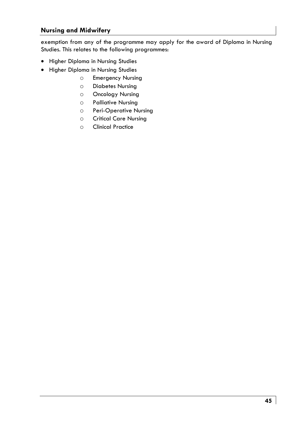exemption from any of the programme may apply for the award of Diploma in Nursing Studies. This relates to the following programmes:

- Higher Diploma in Nursing Studies
- Higher Diploma in Nursing Studies
	- o Emergency Nursing
	- o Diabetes Nursing
	- o Oncology Nursing
	- o Palliative Nursing
	- o Peri-Operative Nursing
	- o Critical Care Nursing
	- o Clinical Practice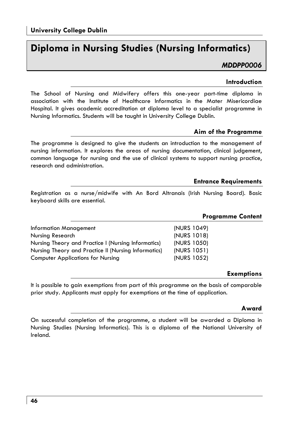### **Diploma in Nursing Studies (Nursing Informatics)**

### *MDDPP0006*

### **Introduction**

The School of Nursing and Midwifery offers this one-year part-time diploma in association with the Institute of Healthcare Informatics in the Mater Misericordiae Hospital. It gives academic accreditation at diploma level to a specialist programme in Nursing Informatics. Students will be taught in University College Dublin.

### **Aim of the Programme**

The programme is designed to give the students an introduction to the management of nursing information. It explores the areas of nursing documentation, clinical judgement, common language for nursing and the use of clinical systems to support nursing practice, research and administration.

### **Entrance Requirements**

Registration as a nurse/midwife with An Bord Altranais (Irish Nursing Board). Basic keyboard skills are essential.

|                                                      | <b>Programme Content</b> |  |
|------------------------------------------------------|--------------------------|--|
| Information Management                               | (NURS 1049)              |  |
| Nursing Research                                     | (NURS 1018)              |  |
| Nursing Theory and Practice I (Nursing Informatics)  | (NURS 1050)              |  |
| Nursing Theory and Practice II (Nursing Informatics) | (NURS 1051)              |  |
| <b>Computer Applications for Nursing</b>             | (NURS 1052)              |  |
|                                                      |                          |  |

### **Exemptions**

It is possible to gain exemptions from part of this programme on the basis of comparable prior study. Applicants must apply for exemptions at the time of application.

#### **Award**

On successful completion of the programme, a student will be awarded a Diploma in Nursing Studies (Nursing Informatics). This is a diploma of the National University of Ireland.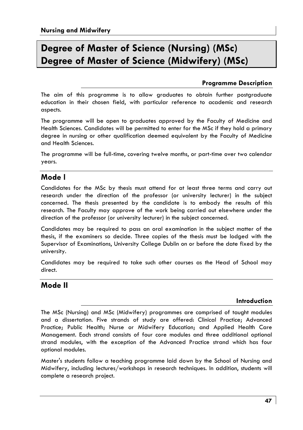### **Degree of Master of Science (Nursing) (MSc) Degree of Master of Science (Midwifery) (MSc)**

### **Programme Description**

The aim of this programme is to allow graduates to obtain further postgraduate education in their chosen field, with particular reference to academic and research aspects.

The programme will be open to graduates approved by the Faculty of Medicine and Health Sciences. Candidates will be permitted to enter for the MSc if they hold a primary degree in nursing or other qualification deemed equivalent by the Faculty of Medicine and Health Sciences.

The programme will be full-time, covering twelve months, or part-time over two calendar years.

### **Mode l**

Candidates for the MSc by thesis must attend for at least three terms and carry out research under the direction of the professor (or university lecturer) in the subject concerned. The thesis presented by the candidate is to embody the results of this research. The Faculty may approve of the work being carried out elsewhere under the direction of the professor (or university lecturer) in the subject concerned.

Candidates may be required to pass an oral examination in the subject matter of the thesis, if the examiners so decide. Three copies of the thesis must be lodged with the Supervisor of Examinations, University College Dublin on or before the date fixed by the university.

Candidates may be required to take such other courses as the Head of School may direct.

### **Mode II**

### **Introduction**

The MSc (Nursing) and MSc (Midwifery) programmes are comprised of taught modules and a dissertation. Five strands of study are offered: Clinical Practice; Advanced Practice; Public Health; Nurse or Midwifery Education; and Applied Health Care Management. Each strand consists of four core modules and three additional optional strand modules, with the exception of the Advanced Practice strand which has four optional modules.

Master's students follow a teaching programme laid down by the School of Nursing and Midwifery, including lectures/workshops in research techniques. In addition, students will complete a research project.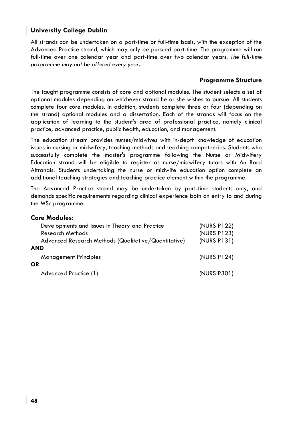### **University College Dublin**

All strands can be undertaken on a part-time or full-time basis, with the exception of the Advanced Practice strand, which may only be pursued part-time. The programme will run full-time over one calendar year and part-time over two calendar years. *The full-time programme may not be offered every year.*

### **Programme Structure**

The taught programme consists of core and optional modules. The student selects a set of optional modules depending on whichever strand he or she wishes to pursue. All students complete four core modules. In addition, students complete three or four (depending on the strand) optional modules and a dissertation. Each of the strands will focus on the application of learning to the student's area of professional practice, namely clinical practice, advanced practice, public health, education, and management.

The education stream provides nurses/midwives with in-depth knowledge of education issues in nursing or midwifery, teaching methods and teaching competencies. Students who successfully complete the master's programme following the Nurse or Midwifery Education strand will be eligible to register as nurse/midwifery tutors with An Bord Altranais. Students undertaking the nurse or midwife education option complete an additional teaching strategies and teaching practice element within the programme.

The Advanced Practice strand may be undertaken by part-time students only, and demands specific requirements regarding clinical experience both on entry to and during the MSc programme.

#### **Core Modules:**

| Developments and Issues in Theory and Practice       | (NURS P122) |
|------------------------------------------------------|-------------|
| <b>Research Methods</b>                              | (NURS P123) |
| Advanced Research Methods (Qualitative/Quantitative) | (NURS P131) |
| AND                                                  |             |
| <b>Management Principles</b>                         | (NURS P124) |
| ΟR                                                   |             |
| Advanced Practice (1)                                | (NURS P301) |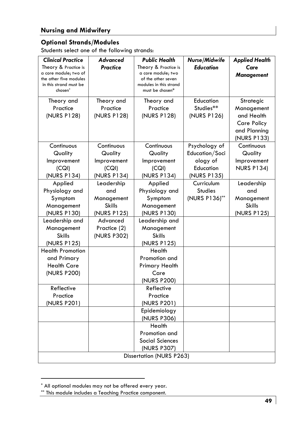### **Optional Strands/Modules**

Students select one of the following strands:

| <b>Clinical Practice</b>                      | <b>Advanced</b>             | <b>Public Health</b>                       | Nurse/Midwife                | <b>Applied Health</b>       |  |
|-----------------------------------------------|-----------------------------|--------------------------------------------|------------------------------|-----------------------------|--|
| Theory & Practice is<br>a core module; two of | Practice                    | Theory & Practice is<br>a core module; two | <b>Education</b>             | Care                        |  |
| the other five modules                        |                             | of the other seven                         |                              | Management                  |  |
| in this strand must be<br>chosen <sup>*</sup> |                             | modules in this strand<br>must be chosen*  |                              |                             |  |
|                                               |                             |                                            |                              |                             |  |
| Theory and<br>Practice                        | Theory and<br>Practice      | Theory and<br>Practice                     | Education<br>Studies**       | Strategic<br>Management     |  |
| (NURS P128)                                   | (NURS P128)                 | (NURS P128)                                | (NURS P126)                  | and Health                  |  |
|                                               |                             |                                            |                              | <b>Care Policy</b>          |  |
|                                               |                             |                                            |                              | and Planning                |  |
|                                               |                             |                                            |                              | (NURS P133)                 |  |
| Continuous                                    | Continuous                  | Continuous                                 | Psychology of                | Continuous                  |  |
| Quality                                       | Quality                     | Quality                                    | Education/Soci               | Quality                     |  |
| Improvement                                   | Improvement                 | Improvement                                | ology of                     | Improvement                 |  |
| (CQI)                                         | (CQI)                       | (CQI)                                      | Education                    | <b>NURS P134)</b>           |  |
| (NURS P134)                                   | (NURS P134)                 | (NURS P134)                                | (NURS P135)                  |                             |  |
| Applied                                       | Leadership                  | Applied                                    | Curriculum<br><b>Studies</b> | Leadership                  |  |
| Physiology and                                | and                         | Physiology and                             |                              | and                         |  |
| Symptom<br>Management                         | Management<br><b>Skills</b> | Symptom<br>Management                      | (NURS P136)**                | Management<br><b>Skills</b> |  |
| (NURS P130)                                   | (NURS P125)                 | (NURS P130)                                |                              | (NURS P125)                 |  |
| Leadership and                                | Advanced                    | Leadership and                             |                              |                             |  |
| Management                                    | Practice (2)                | Management                                 |                              |                             |  |
| <b>Skills</b>                                 | (NURS P302)                 | <b>Skills</b>                              |                              |                             |  |
| (NURS P125)                                   |                             | (NURS P125)                                |                              |                             |  |
| <b>Health Promotion</b>                       |                             | Health                                     |                              |                             |  |
| and Primary                                   |                             | Promotion and                              |                              |                             |  |
| <b>Health Care</b>                            |                             | <b>Primary Health</b>                      |                              |                             |  |
| (NURS P200)                                   |                             | Care                                       |                              |                             |  |
|                                               |                             | (NURS P200)                                |                              |                             |  |
| Reflective                                    |                             | Reflective                                 |                              |                             |  |
| Practice                                      |                             | Practice                                   |                              |                             |  |
| (NURS P201)                                   |                             | (NURS P201)                                |                              |                             |  |
|                                               |                             | Epidemiology                               |                              |                             |  |
|                                               |                             | (NURS P306)                                |                              |                             |  |
|                                               |                             | Health<br>Promotion and                    |                              |                             |  |
|                                               |                             | Social Sciences                            |                              |                             |  |
|                                               |                             | (NURS P307)                                |                              |                             |  |
| <b>Dissertation (NURS P263)</b>               |                             |                                            |                              |                             |  |

<sup>\*</sup> All optional modules may not be offered every year.

<sup>\*\*</sup> This module includes a Teaching Practice component.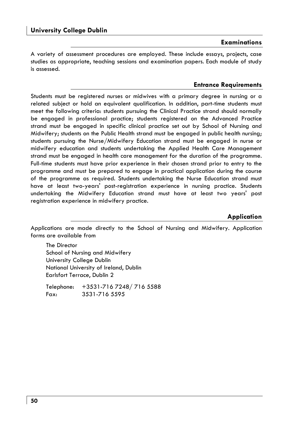#### **Examinations**

A variety of assessment procedures are employed. These include essays, projects, case studies as appropriate, teaching sessions and examination papers. Each module of study is assessed.

#### **Entrance Requirements**

Students must be registered nurses or midwives with a primary degree in nursing or a related subject or hold an equivalent qualification. In addition, part-time students must meet the following criteria: students pursuing the Clinical Practice strand should normally be engaged in professional practice; students registered on the Advanced Practice strand must be engaged in specific clinical practice set out by School of Nursing and Midwifery; students on the Public Health strand must be engaged in public health nursing; students pursuing the Nurse/Midwifery Education strand must be engaged in nurse or midwifery education and students undertaking the Applied Health Care Management strand must be engaged in health care management for the duration of the programme. Full-time students must have prior experience in their chosen strand prior to entry to the programme and must be prepared to engage in practical application during the course of the programme as required. Students undertaking the Nurse Education strand must have at least two-years' post-registration experience in nursing practice. Students undertaking the Midwifery Education strand must have at least two years' post registration experience in midwifery practice.

#### **Application**

Applications are made directly to the School of Nursing and Midwifery. Application forms are available from

The Director School of Nursing and Midwifery University College Dublin National University of Ireland, Dublin Earlsfort Terrace, Dublin 2

Telephone: +3531-716 7248/ 716 5588 Fax: 3531-716 5595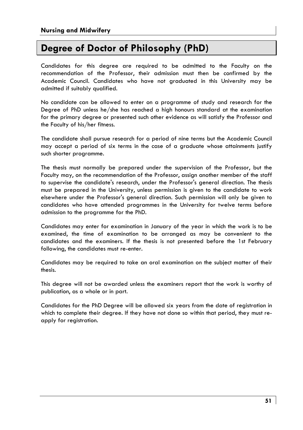### **Degree of Doctor of Philosophy (PhD)**

Candidates for this degree are required to be admitted to the Faculty on the recommendation of the Professor, their admission must then be confirmed by the Academic Council. Candidates who have not graduated in this University may be admitted if suitably qualified.

No candidate can be allowed to enter on a programme of study and research for the Degree of PhD unless he/she has reached a high honours standard at the examination for the primary degree or presented such other evidence as will satisfy the Professor and the Faculty of his/her fitness.

The candidate shall pursue research for a period of nine terms but the Academic Council may accept a period of six terms in the case of a graduate whose attainments justify such shorter programme.

The thesis must normally be prepared under the supervision of the Professor, but the Faculty may, on the recommendation of the Professor, assign another member of the staff to supervise the candidate's research, under the Professor's general direction. The thesis must be prepared in the University, unless permission is given to the candidate to work elsewhere under the Professor's general direction. Such permission will only be given to candidates who have attended programmes in the University for twelve terms before admission to the programme for the PhD.

Candidates may enter for examination in January of the year in which the work is to be examined, the time of examination to be arranged as may be convenient to the candidates and the examiners. If the thesis is not presented before the 1st February following, the candidates must re-enter.

Candidates may be required to take an oral examination on the subject matter of their thesis.

This degree will not be awarded unless the examiners report that the work is worthy of publication, as a whole or in part.

Candidates for the PhD Degree will be allowed six years from the date of registration in which to complete their degree. If they have not done so within that period, they must reapply for registration.